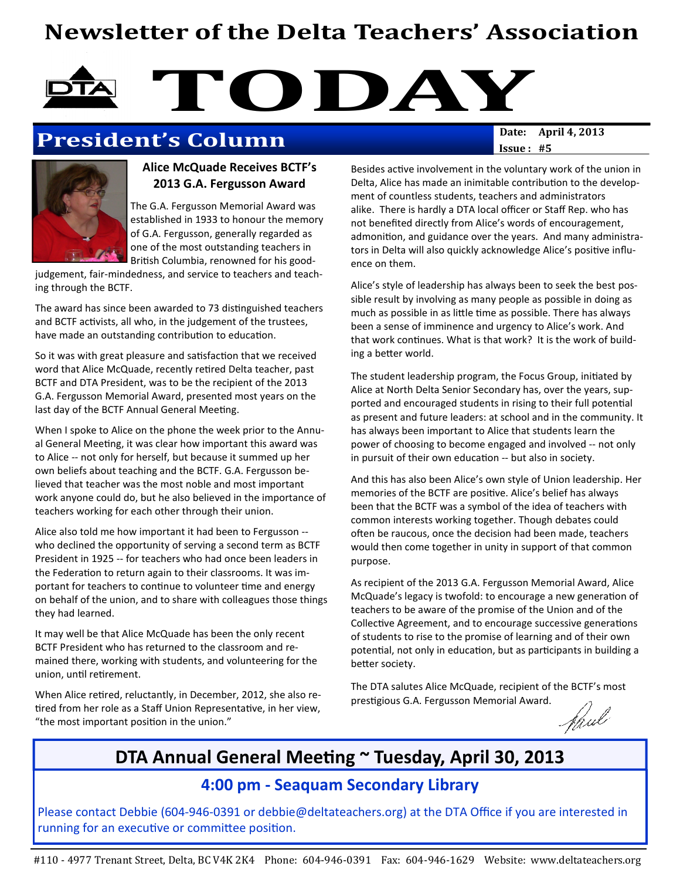## Newsletter of the Delta Teachers' Association

# TODAY<br>Date: April 4, 2013

## President's Column

#### Alice McQuade Receives BCTF's 2013 G.A. Fergusson Award

The G.A. Fergusson Memorial Award was established in 1933 to honour the memory of G.A. Fergusson, generally regarded as one of the most outstanding teachers in British Columbia, renowned for his good-

judgement, fair-mindedness, and service to teachers and teaching through the BCTF.

The award has since been awarded to 73 distinguished teachers and BCTF activists, all who, in the judgement of the trustees, have made an outstanding contribution to education.

So it was with great pleasure and satisfaction that we received word that Alice McQuade, recently retired Delta teacher, past BCTF and DTA President, was to be the recipient of the 2013 G.A. Fergusson Memorial Award, presented most years on the last day of the BCTF Annual General Meeting.

When I spoke to Alice on the phone the week prior to the Annual General Meeting, it was clear how important this award was to Alice -- not only for herself, but because it summed up her own beliefs about teaching and the BCTF. G.A. Fergusson believed that teacher was the most noble and most important work anyone could do, but he also believed in the importance of teachers working for each other through their union.

Alice also told me how important it had been to Fergusson - who declined the opportunity of serving a second term as BCTF President in 1925 -- for teachers who had once been leaders in the Federation to return again to their classrooms. It was important for teachers to continue to volunteer time and energy on behalf of the union, and to share with colleagues those things they had learned.

It may well be that Alice McQuade has been the only recent BCTF President who has returned to the classroom and remained there, working with students, and volunteering for the union, until retirement.

When Alice retired, reluctantly, in December, 2012, she also retired from her role as a Staff Union Representative, in her view, "the most important position in the union."

 $Issue: #5$ 

Besides active involvement in the voluntary work of the union in Delta, Alice has made an inimitable contribution to the development of countless students, teachers and administrators alike. There is hardly a DTA local officer or Staff Rep. who has not benefited directly from Alice's words of encouragement, admonition, and guidance over the years. And many administrators in Delta will also quickly acknowledge Alice's positive influence on them.

Alice's style of leadership has always been to seek the best possible result by involving as many people as possible in doing as much as possible in as little time as possible. There has always been a sense of imminence and urgency to Alice's work. And that work continues. What is that work? It is the work of building a better world.

The student leadership program, the Focus Group, initiated by Alice at North Delta Senior Secondary has, over the years, supported and encouraged students in rising to their full potential as present and future leaders: at school and in the community. It has always been important to Alice that students learn the power of choosing to become engaged and involved -- not only in pursuit of their own education -- but also in society.

And this has also been Alice's own style of Union leadership. Her memories of the BCTF are positive. Alice's belief has always been that the BCTF was a symbol of the idea of teachers with common interests working together. Though debates could often be raucous, once the decision had been made, teachers would then come together in unity in support of that common purpose.

As recipient of the 2013 G.A. Fergusson Memorial Award, Alice McQuade's legacy is twofold: to encourage a new generation of teachers to be aware of the promise of the Union and of the Collective Agreement, and to encourage successive generations of students to rise to the promise of learning and of their own potential, not only in education, but as participants in building a better society.

The DTA salutes Alice McQuade, recipient of the BCTF's most prestigious G.A. Fergusson Memorial Award.

Paul

## DTA Annual General Meeting  $\sim$  Tuesday, April 30, 2013

#### 4:00 pm - Seaquam Secondary Library

Please contact Debbie (604-946-0391 or debbie@deltateachers.org) at the DTA Office if you are interested in running for an executive or committee position.

#110 - 4977 Trenant Street, Delta, BC V4K 2K4 Phone: 604-946-0391 Fax: 604-946-1629 Website: www.deltateachers.org